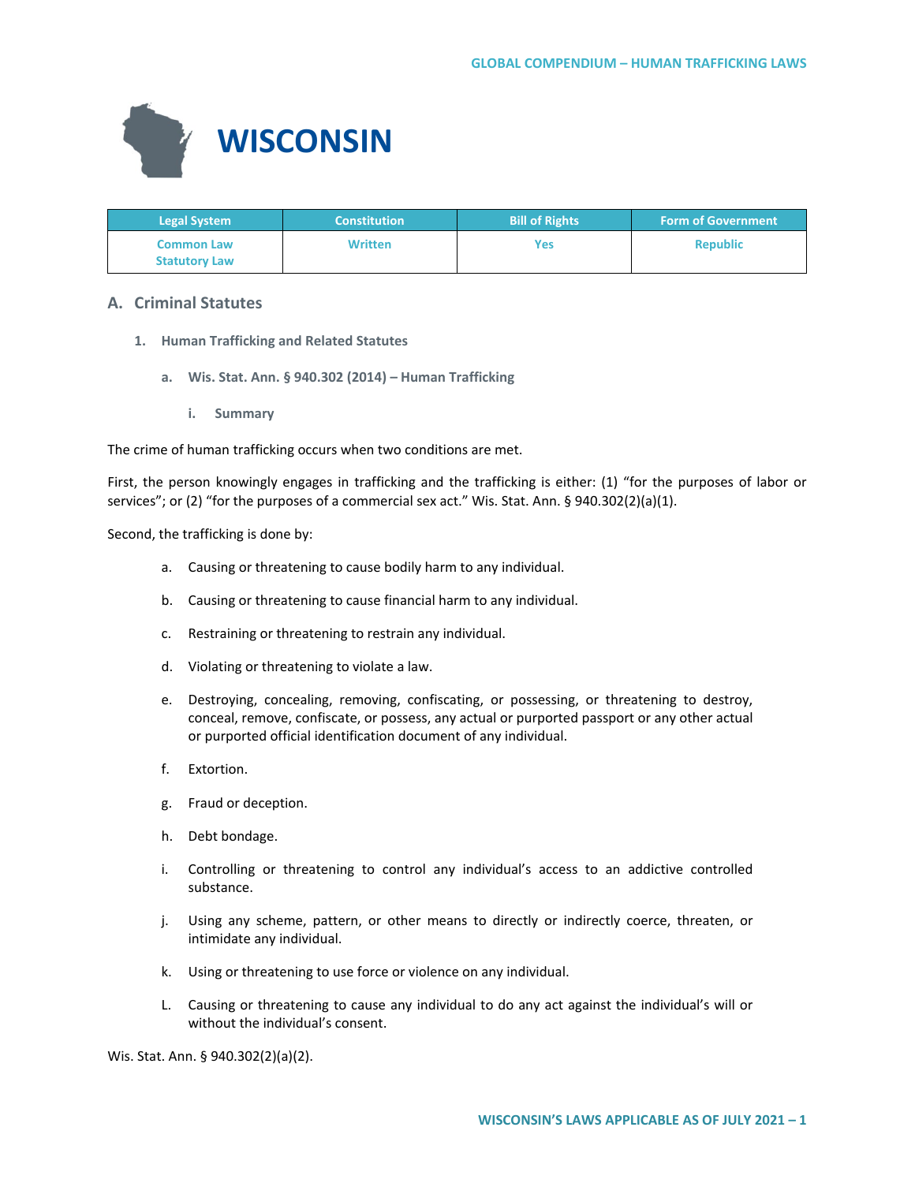

| <b>Legal System</b>                       | <b>Constitution</b> | <b>Bill of Rights</b> | <b>Form of Government</b> |
|-------------------------------------------|---------------------|-----------------------|---------------------------|
| <b>Common Law</b><br><b>Statutory Law</b> | <b>Written</b>      | Yes                   | <b>Republic</b>           |

## **A. Criminal Statutes**

- **1. Human Trafficking and Related Statutes**
	- **a. Wis. Stat. Ann. § 940.302 (2014) – Human Trafficking**
		- **i. Summary**

The crime of human trafficking occurs when two conditions are met.

First, the person knowingly engages in trafficking and the trafficking is either: (1) "for the purposes of labor or services"; or (2) "for the purposes of a commercial sex act." Wis. Stat. Ann. § 940.302(2)(a)(1).

Second, the trafficking is done by:

- a. Causing or threatening to cause bodily harm to any individual.
- b. Causing or threatening to cause financial harm to any individual.
- c. Restraining or threatening to restrain any individual.
- d. Violating or threatening to violate a law.
- e. Destroying, concealing, removing, confiscating, or possessing, or threatening to destroy, conceal, remove, confiscate, or possess, any actual or purported passport or any other actual or purported official identification document of any individual.
- f. Extortion.
- g. Fraud or deception.
- h. Debt bondage.
- i. Controlling or threatening to control any individual's access to an addictive controlled substance.
- j. Using any scheme, pattern, or other means to directly or indirectly coerce, threaten, or intimidate any individual.
- k. Using or threatening to use force or violence on any individual.
- L. Causing or threatening to cause any individual to do any act against the individual's will or without the individual's consent.

Wis. Stat. Ann. § 940.302(2)(a)(2).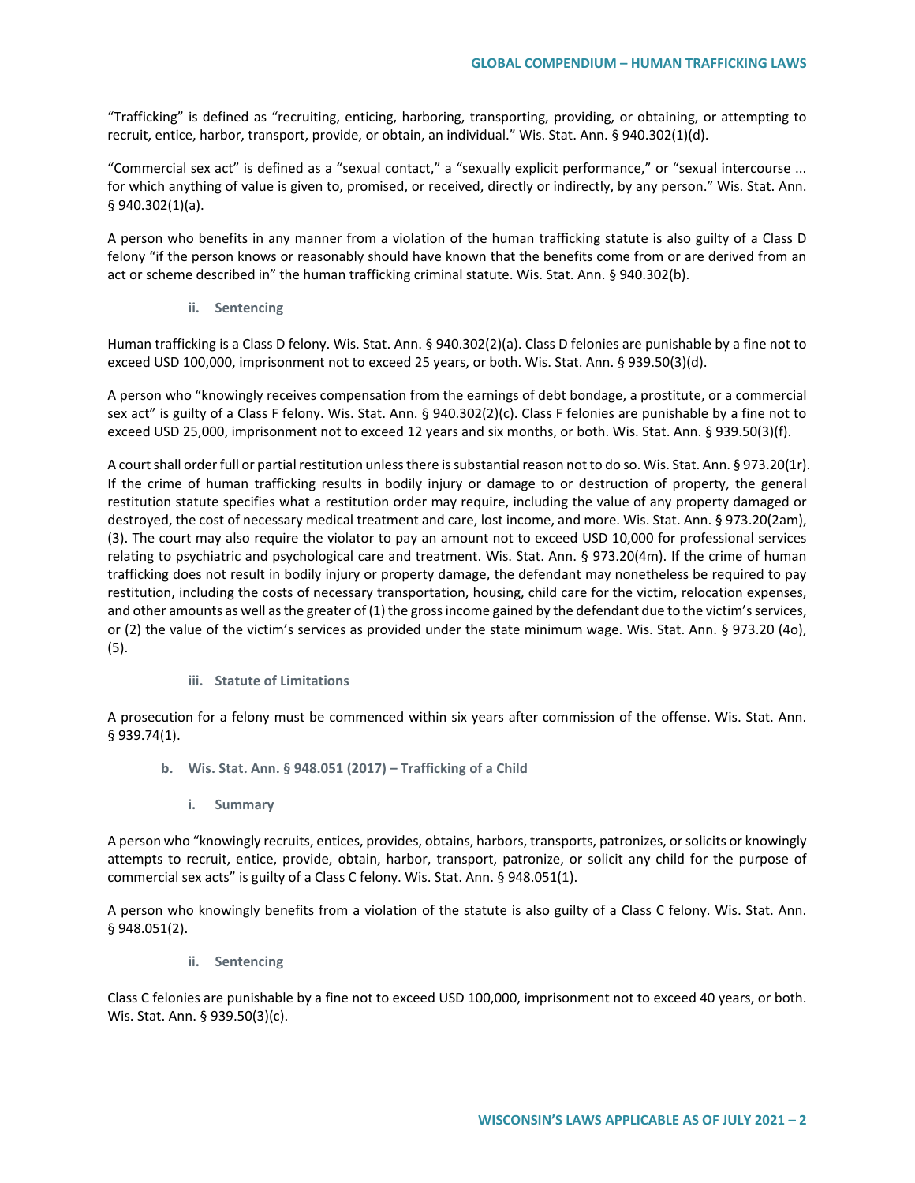"Trafficking" is defined as "recruiting, enticing, harboring, transporting, providing, or obtaining, or attempting to recruit, entice, harbor, transport, provide, or obtain, an individual." Wis. Stat. Ann. § 940.302(1)(d).

"Commercial sex act" is defined as a "sexual contact," a "sexually explicit performance," or "sexual intercourse ... for which anything of value is given to, promised, or received, directly or indirectly, by any person." Wis. Stat. Ann. § 940.302(1)(a).

A person who benefits in any manner from a violation of the human trafficking statute is also guilty of a Class D felony "if the person knows or reasonably should have known that the benefits come from or are derived from an act or scheme described in" the human trafficking criminal statute. Wis. Stat. Ann. § 940.302(b).

**ii. Sentencing**

Human trafficking is a Class D felony. Wis. Stat. Ann. § 940.302(2)(a). Class D felonies are punishable by a fine not to exceed USD 100,000, imprisonment not to exceed 25 years, or both. Wis. Stat. Ann. § 939.50(3)(d).

A person who "knowingly receives compensation from the earnings of debt bondage, a prostitute, or a commercial sex act" is guilty of a Class F felony. Wis. Stat. Ann. § 940.302(2)(c). Class F felonies are punishable by a fine not to exceed USD 25,000, imprisonment not to exceed 12 years and six months, or both. Wis. Stat. Ann. § 939.50(3)(f).

A court shall order full or partial restitution unless there is substantial reason not to do so. Wis. Stat. Ann. § 973.20(1r). If the crime of human trafficking results in bodily injury or damage to or destruction of property, the general restitution statute specifies what a restitution order may require, including the value of any property damaged or destroyed, the cost of necessary medical treatment and care, lost income, and more. Wis. Stat. Ann. § 973.20(2am), (3). The court may also require the violator to pay an amount not to exceed USD 10,000 for professional services relating to psychiatric and psychological care and treatment. Wis. Stat. Ann. § 973.20(4m). If the crime of human trafficking does not result in bodily injury or property damage, the defendant may nonetheless be required to pay restitution, including the costs of necessary transportation, housing, child care for the victim, relocation expenses, and other amounts as well as the greater of (1) the gross income gained by the defendant due to the victim's services, or (2) the value of the victim's services as provided under the state minimum wage. Wis. Stat. Ann. § 973.20 (4o), (5).

## **iii. Statute of Limitations**

A prosecution for a felony must be commenced within six years after commission of the offense. Wis. Stat. Ann. § 939.74(1).

- **b. Wis. Stat. Ann. § 948.051 (2017) – Trafficking of a Child**
	- **i. Summary**

A person who "knowingly recruits, entices, provides, obtains, harbors, transports, patronizes, or solicits or knowingly attempts to recruit, entice, provide, obtain, harbor, transport, patronize, or solicit any child for the purpose of commercial sex acts" is guilty of a Class C felony. Wis. Stat. Ann. § 948.051(1).

A person who knowingly benefits from a violation of the statute is also guilty of a Class C felony. Wis. Stat. Ann. § 948.051(2).

**ii. Sentencing**

Class C felonies are punishable by a fine not to exceed USD 100,000, imprisonment not to exceed 40 years, or both. Wis. Stat. Ann. § 939.50(3)(c).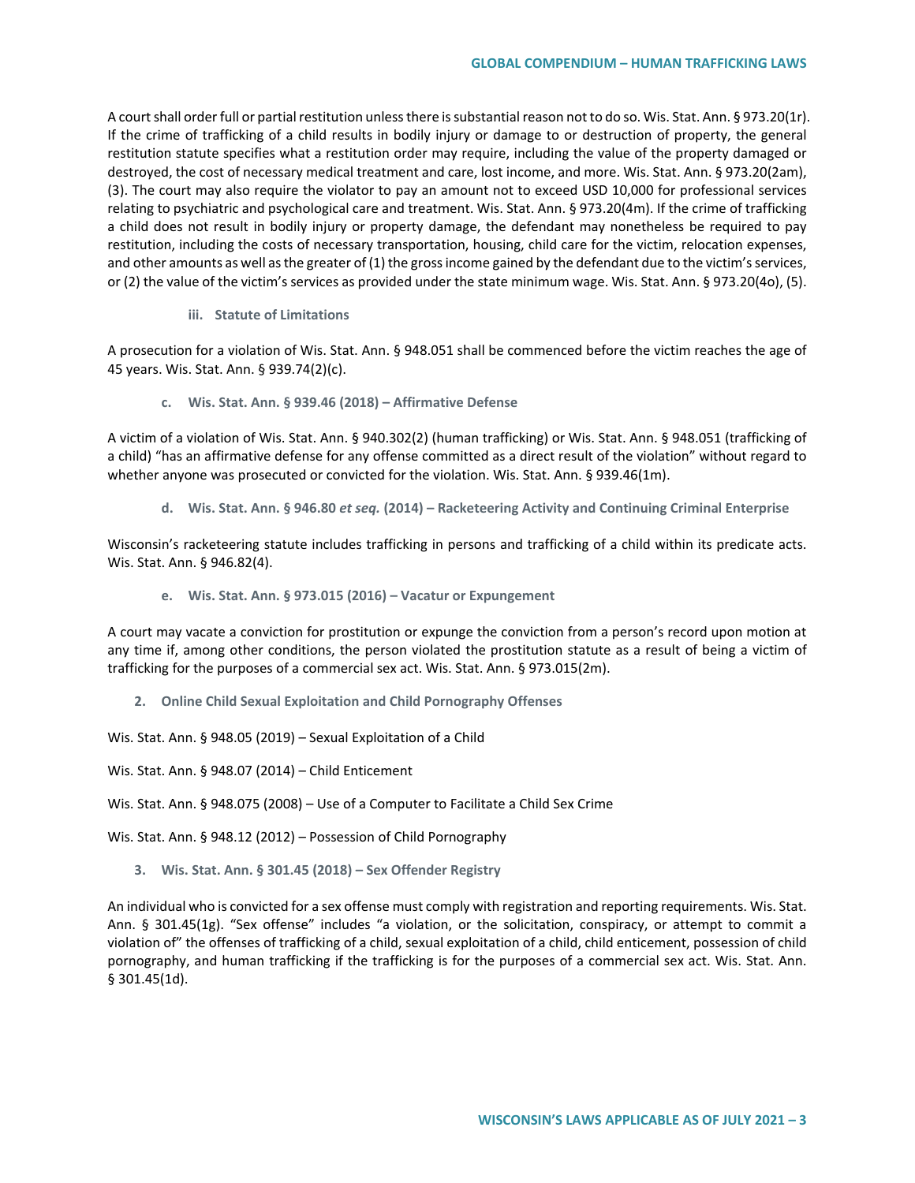A court shall order full or partial restitution unless there is substantial reason not to do so. Wis. Stat. Ann. § 973.20(1r). If the crime of trafficking of a child results in bodily injury or damage to or destruction of property, the general restitution statute specifies what a restitution order may require, including the value of the property damaged or destroyed, the cost of necessary medical treatment and care, lost income, and more. Wis. Stat. Ann. § 973.20(2am), (3). The court may also require the violator to pay an amount not to exceed USD 10,000 for professional services relating to psychiatric and psychological care and treatment. Wis. Stat. Ann. § 973.20(4m). If the crime of trafficking a child does not result in bodily injury or property damage, the defendant may nonetheless be required to pay restitution, including the costs of necessary transportation, housing, child care for the victim, relocation expenses, and other amounts as well as the greater of (1) the gross income gained by the defendant due to the victim's services, or (2) the value of the victim's services as provided under the state minimum wage. Wis. Stat. Ann. § 973.20(4o), (5).

**iii. Statute of Limitations**

A prosecution for a violation of Wis. Stat. Ann. § 948.051 shall be commenced before the victim reaches the age of 45 years. Wis. Stat. Ann. § 939.74(2)(c).

**c. Wis. Stat. Ann. § 939.46 (2018) – Affirmative Defense**

A victim of a violation of Wis. Stat. Ann. § 940.302(2) (human trafficking) or Wis. Stat. Ann. § 948.051 (trafficking of a child) "has an affirmative defense for any offense committed as a direct result of the violation" without regard to whether anyone was prosecuted or convicted for the violation. Wis. Stat. Ann. § 939.46(1m).

**d. Wis. Stat. Ann. § 946.80** *et seq.* **(2014) – Racketeering Activity and Continuing Criminal Enterprise**

Wisconsin's racketeering statute includes trafficking in persons and trafficking of a child within its predicate acts. Wis. Stat. Ann. § 946.82(4).

**e. Wis. Stat. Ann. § 973.015 (2016) – Vacatur or Expungement**

A court may vacate a conviction for prostitution or expunge the conviction from a person's record upon motion at any time if, among other conditions, the person violated the prostitution statute as a result of being a victim of trafficking for the purposes of a commercial sex act. Wis. Stat. Ann. § 973.015(2m).

**2. Online Child Sexual Exploitation and Child Pornography Offenses**

Wis. Stat. Ann. § 948.05 (2019) – Sexual Exploitation of a Child

Wis. Stat. Ann. § 948.07 (2014) – Child Enticement

Wis. Stat. Ann. § 948.075 (2008) – Use of a Computer to Facilitate a Child Sex Crime

Wis. Stat. Ann. § 948.12 (2012) – Possession of Child Pornography

**3. Wis. Stat. Ann. § 301.45 (2018) – Sex Offender Registry**

An individual who is convicted for a sex offense must comply with registration and reporting requirements. Wis. Stat. Ann. § 301.45(1g). "Sex offense" includes "a violation, or the solicitation, conspiracy, or attempt to commit a violation of" the offenses of trafficking of a child, sexual exploitation of a child, child enticement, possession of child pornography, and human trafficking if the trafficking is for the purposes of a commercial sex act. Wis. Stat. Ann. § 301.45(1d).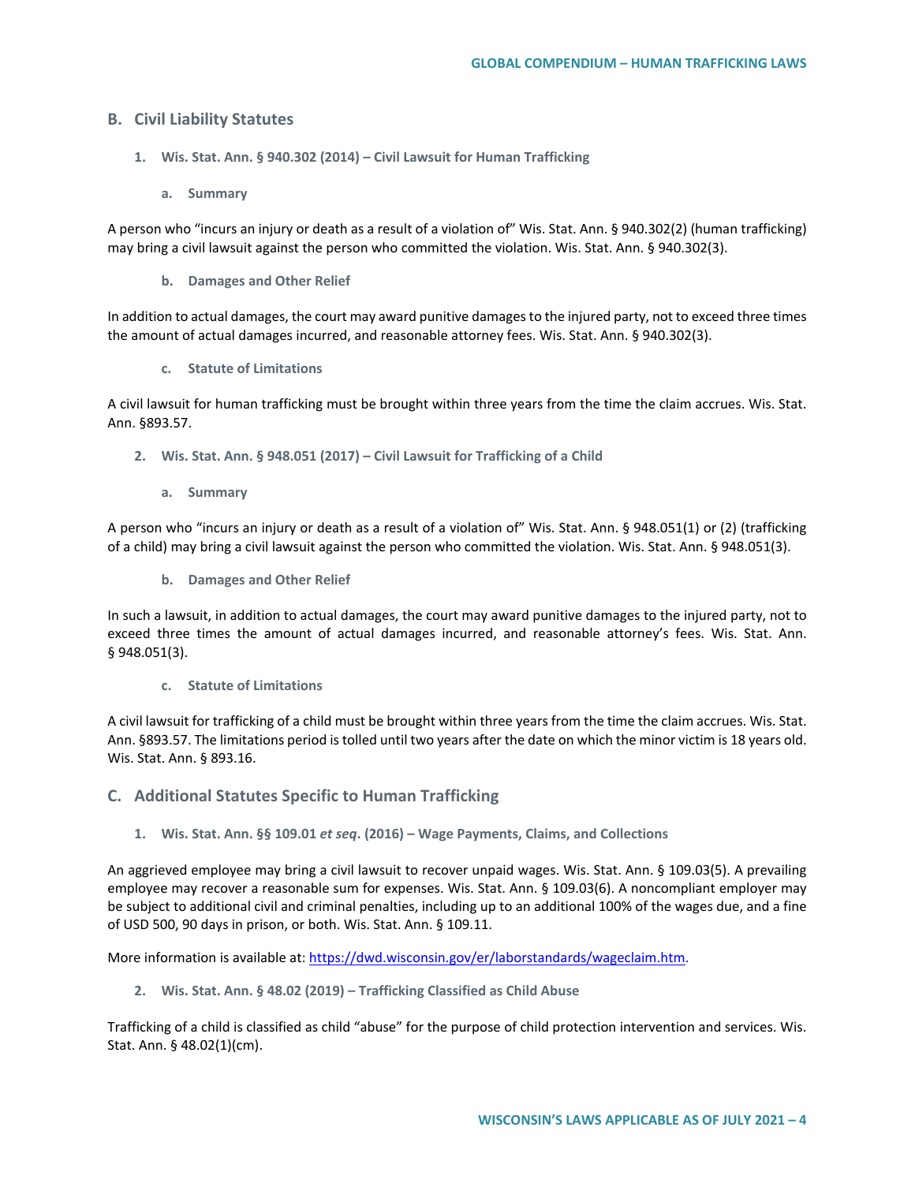# **B. Civil Liability Statutes**

- **1. Wis. Stat. Ann. § 940.302 (2014) – Civil Lawsuit for Human Trafficking** 
	- **a. Summary**

A person who "incurs an injury or death as a result of a violation of" Wis. Stat. Ann. § 940.302(2) (human trafficking) may bring a civil lawsuit against the person who committed the violation. Wis. Stat. Ann. § 940.302(3).

**b. Damages and Other Relief**

In addition to actual damages, the court may award punitive damages to the injured party, not to exceed three times the amount of actual damages incurred, and reasonable attorney fees. Wis. Stat. Ann. § 940.302(3).

**c. Statute of Limitations**

A civil lawsuit for human trafficking must be brought within three years from the time the claim accrues. Wis. Stat. Ann. §893.57.

- **2. Wis. Stat. Ann. § 948.051 (2017) – Civil Lawsuit for Trafficking of a Child**
	- **a. Summary**

A person who "incurs an injury or death as a result of a violation of" Wis. Stat. Ann. § 948.051(1) or (2) (trafficking of a child) may bring a civil lawsuit against the person who committed the violation. Wis. Stat. Ann. § 948.051(3).

**b. Damages and Other Relief**

In such a lawsuit, in addition to actual damages, the court may award punitive damages to the injured party, not to exceed three times the amount of actual damages incurred, and reasonable attorney's fees. Wis. Stat. Ann. § 948.051(3).

**c. Statute of Limitations**

A civil lawsuit for trafficking of a child must be brought within three years from the time the claim accrues. Wis. Stat. Ann. §893.57. The limitations period is tolled until two years after the date on which the minor victim is 18 years old. Wis. Stat. Ann. § 893.16.

- **C. Additional Statutes Specific to Human Trafficking**
	- **1. Wis. Stat. Ann. §§ 109.01** *et seq***. (2016) – Wage Payments, Claims, and Collections**

An aggrieved employee may bring a civil lawsuit to recover unpaid wages. Wis. Stat. Ann. § 109.03(5). A prevailing employee may recover a reasonable sum for expenses. Wis. Stat. Ann. § 109.03(6). A noncompliant employer may be subject to additional civil and criminal penalties, including up to an additional 100% of the wages due, and a fine of USD 500, 90 days in prison, or both. Wis. Stat. Ann. § 109.11.

More information is available at: [https://dwd.wisconsin.gov/er/laborstandards/wageclaim.htm.](https://dwd.wisconsin.gov/er/laborstandards/wageclaim.htm)

**2. Wis. Stat. Ann. § 48.02 (2019) – Trafficking Classified as Child Abuse**

Trafficking of a child is classified as child "abuse" for the purpose of child protection intervention and services. Wis. Stat. Ann. § 48.02(1)(cm).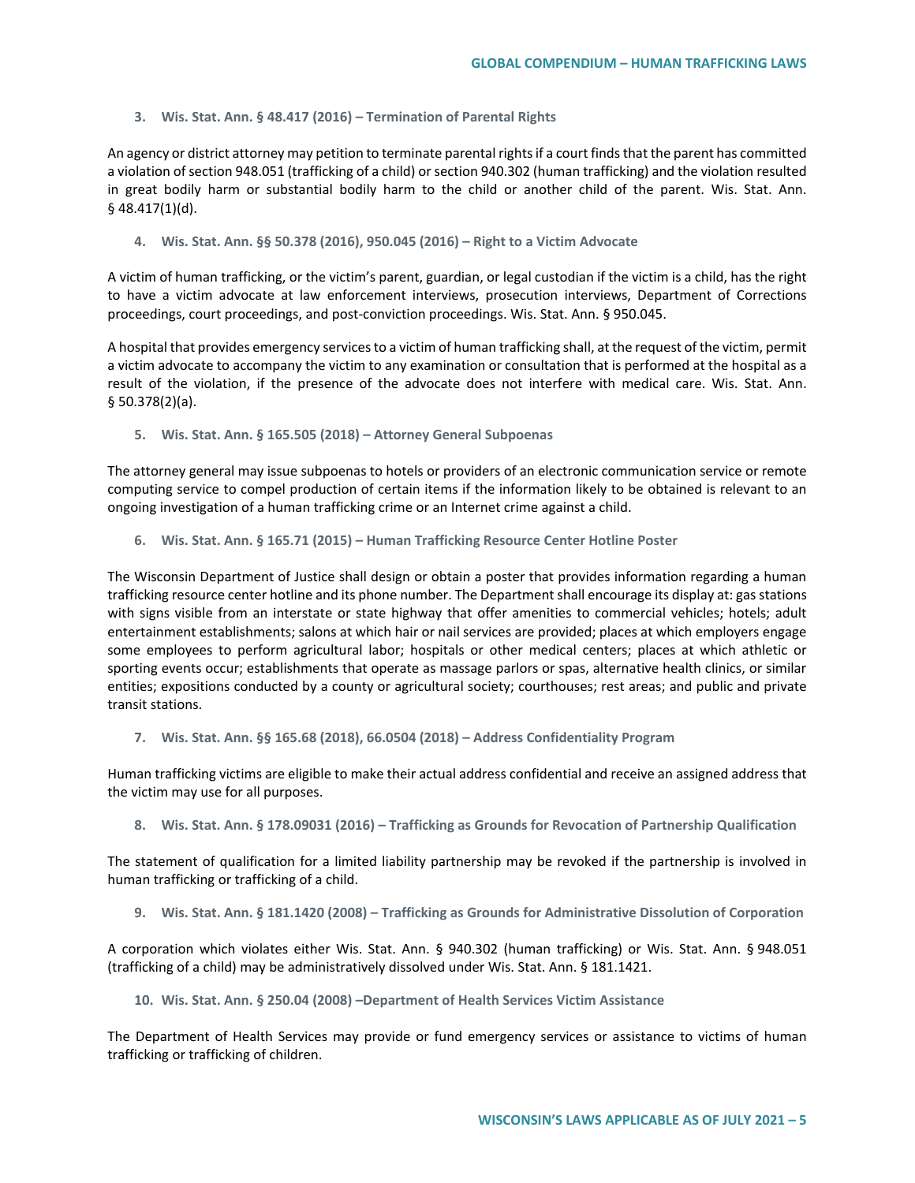#### **3. Wis. Stat. Ann. § 48.417 (2016) – Termination of Parental Rights**

An agency or district attorney may petition to terminate parental rights if a court finds that the parent has committed a violation of section 948.051 (trafficking of a child) or section 940.302 (human trafficking) and the violation resulted in great bodily harm or substantial bodily harm to the child or another child of the parent. Wis. Stat. Ann. § 48.417(1)(d).

#### **4. Wis. Stat. Ann. §§ 50.378 (2016), 950.045 (2016) – Right to a Victim Advocate**

A victim of human trafficking, or the victim's parent, guardian, or legal custodian if the victim is a child, has the right to have a victim advocate at law enforcement interviews, prosecution interviews, Department of Corrections proceedings, court proceedings, and post-conviction proceedings. Wis. Stat. Ann. § 950.045.

A hospital that provides emergency services to a victim of human trafficking shall, at the request of the victim, permit a victim advocate to accompany the victim to any examination or consultation that is performed at the hospital as a result of the violation, if the presence of the advocate does not interfere with medical care. Wis. Stat. Ann. § 50.378(2)(a).

**5. Wis. Stat. Ann. § 165.505 (2018) – Attorney General Subpoenas**

The attorney general may issue subpoenas to hotels or providers of an electronic communication service or remote computing service to compel production of certain items if the information likely to be obtained is relevant to an ongoing investigation of a human trafficking crime or an Internet crime against a child.

**6. Wis. Stat. Ann. § 165.71 (2015) – Human Trafficking Resource Center Hotline Poster**

The Wisconsin Department of Justice shall design or obtain a poster that provides information regarding a human trafficking resource center hotline and its phone number. The Department shall encourage its display at: gas stations with signs visible from an interstate or state highway that offer amenities to commercial vehicles; hotels; adult entertainment establishments; salons at which hair or nail services are provided; places at which employers engage some employees to perform agricultural labor; hospitals or other medical centers; places at which athletic or sporting events occur; establishments that operate as massage parlors or spas, alternative health clinics, or similar entities; expositions conducted by a county or agricultural society; courthouses; rest areas; and public and private transit stations.

**7. Wis. Stat. Ann. §§ 165.68 (2018), 66.0504 (2018) – Address Confidentiality Program**

Human trafficking victims are eligible to make their actual address confidential and receive an assigned address that the victim may use for all purposes.

**8. Wis. Stat. Ann. § 178.09031 (2016) – Trafficking as Grounds for Revocation of Partnership Qualification**

The statement of qualification for a limited liability partnership may be revoked if the partnership is involved in human trafficking or trafficking of a child.

**9. Wis. Stat. Ann. § 181.1420 (2008) – Trafficking as Grounds for Administrative Dissolution of Corporation**

A corporation which violates either Wis. Stat. Ann. § 940.302 (human trafficking) or Wis. Stat. Ann. § 948.051 (trafficking of a child) may be administratively dissolved under Wis. Stat. Ann. § 181.1421.

#### **10. Wis. Stat. Ann. § 250.04 (2008) –Department of Health Services Victim Assistance**

The Department of Health Services may provide or fund emergency services or assistance to victims of human trafficking or trafficking of children.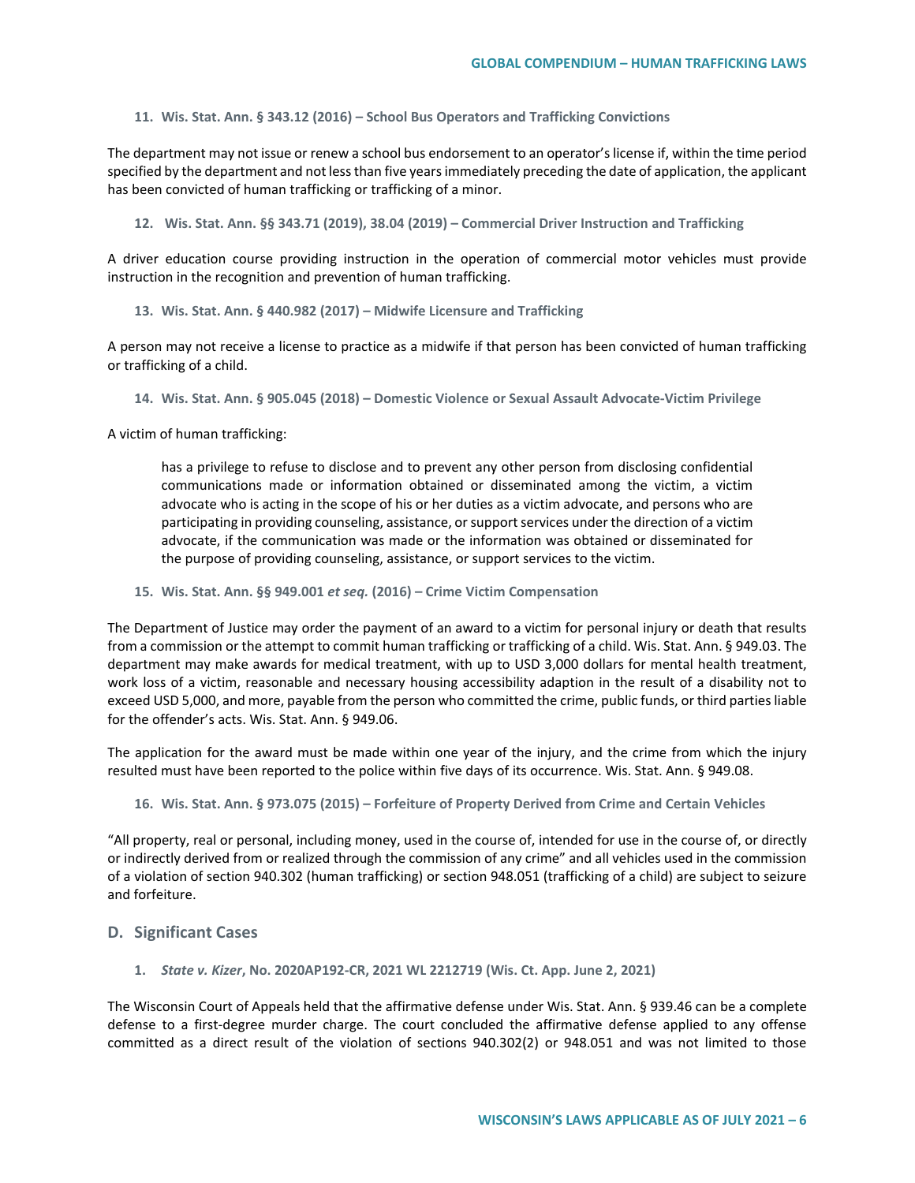**11. Wis. Stat. Ann. § 343.12 (2016) – School Bus Operators and Trafficking Convictions**

The department may not issue or renew a school bus endorsement to an operator's license if, within the time period specified by the department and not less than five years immediately preceding the date of application, the applicant has been convicted of human trafficking or trafficking of a minor.

**12. Wis. Stat. Ann. §§ 343.71 (2019), 38.04 (2019) – Commercial Driver Instruction and Trafficking**

A driver education course providing instruction in the operation of commercial motor vehicles must provide instruction in the recognition and prevention of human trafficking.

**13. Wis. Stat. Ann. § 440.982 (2017) – Midwife Licensure and Trafficking**

A person may not receive a license to practice as a midwife if that person has been convicted of human trafficking or trafficking of a child.

**14. Wis. Stat. Ann. § 905.045 (2018) – Domestic Violence or Sexual Assault Advocate-Victim Privilege**

A victim of human trafficking:

has a privilege to refuse to disclose and to prevent any other person from disclosing confidential communications made or information obtained or disseminated among the victim, a victim advocate who is acting in the scope of his or her duties as a victim advocate, and persons who are participating in providing counseling, assistance, or support services under the direction of a victim advocate, if the communication was made or the information was obtained or disseminated for the purpose of providing counseling, assistance, or support services to the victim.

**15. Wis. Stat. Ann. §§ 949.001** *et seq.* **(2016) – Crime Victim Compensation**

The Department of Justice may order the payment of an award to a victim for personal injury or death that results from a commission or the attempt to commit human trafficking or trafficking of a child. Wis. Stat. Ann. § 949.03. The department may make awards for medical treatment, with up to USD 3,000 dollars for mental health treatment, work loss of a victim, reasonable and necessary housing accessibility adaption in the result of a disability not to exceed USD 5,000, and more, payable from the person who committed the crime, public funds, or third parties liable for the offender's acts. Wis. Stat. Ann. § 949.06.

The application for the award must be made within one year of the injury, and the crime from which the injury resulted must have been reported to the police within five days of its occurrence. Wis. Stat. Ann. § 949.08.

**16. Wis. Stat. Ann. § 973.075 (2015) – Forfeiture of Property Derived from Crime and Certain Vehicles**

"All property, real or personal, including money, used in the course of, intended for use in the course of, or directly or indirectly derived from or realized through the commission of any crime" and all vehicles used in the commission of a violation of section 940.302 (human trafficking) or section 948.051 (trafficking of a child) are subject to seizure and forfeiture.

## **D. Significant Cases**

**1.** *State v. Kizer***, No. 2020AP192-CR, 2021 WL 2212719 (Wis. Ct. App. June 2, 2021)**

The Wisconsin Court of Appeals held that the affirmative defense under Wis. Stat. Ann. § 939.46 can be a complete defense to a first-degree murder charge. The court concluded the affirmative defense applied to any offense committed as a direct result of the violation of sections 940.302(2) or 948.051 and was not limited to those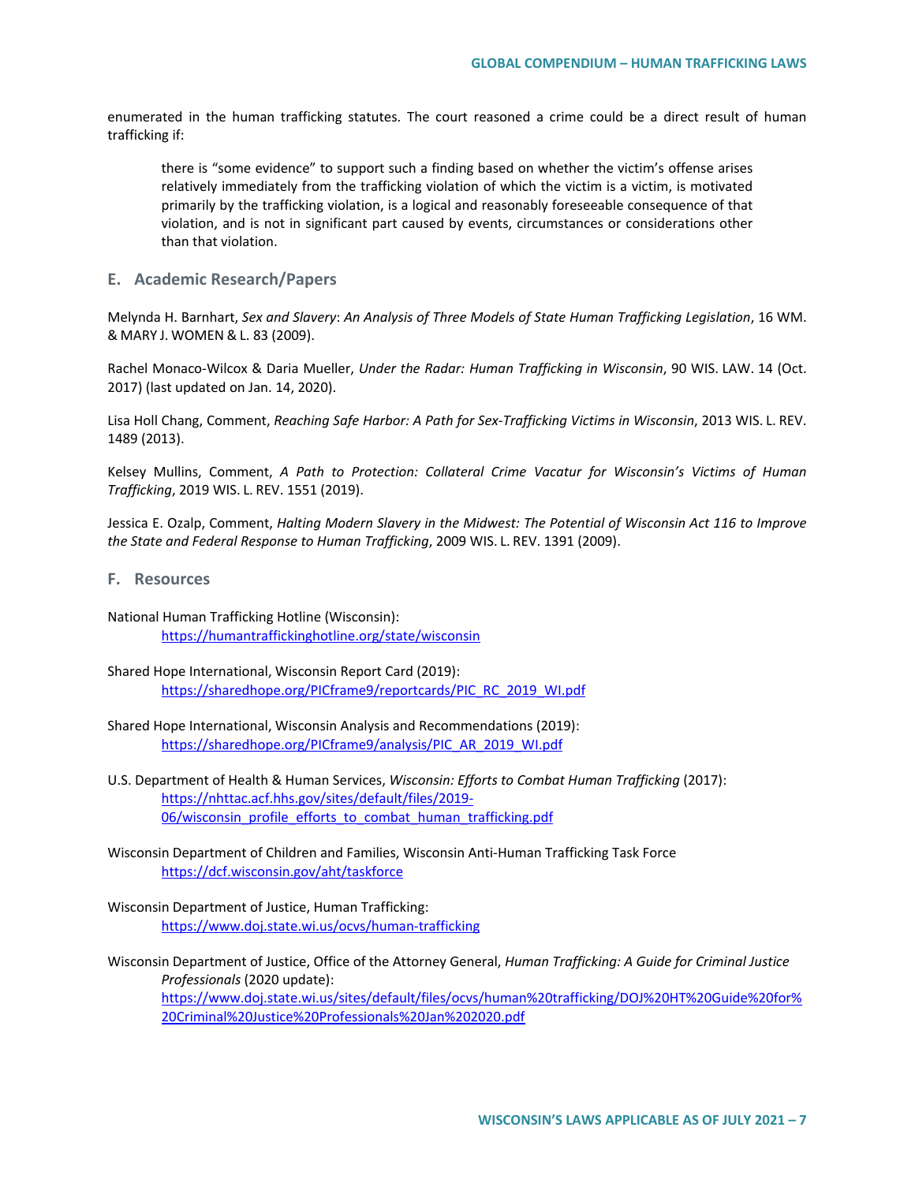enumerated in the human trafficking statutes. The court reasoned a crime could be a direct result of human trafficking if:

there is "some evidence" to support such a finding based on whether the victim's offense arises relatively immediately from the trafficking violation of which the victim is a victim, is motivated primarily by the trafficking violation, is a logical and reasonably foreseeable consequence of that violation, and is not in significant part caused by events, circumstances or considerations other than that violation.

## **E. Academic Research/Papers**

Melynda H. Barnhart, *Sex and Slavery*: *An Analysis of Three Models of State Human Trafficking Legislation*, 16 WM. & MARY J. WOMEN & L. 83 (2009).

Rachel Monaco-Wilcox & Daria Mueller, *Under the Radar: Human Trafficking in Wisconsin*, 90 WIS. LAW. 14 (Oct. 2017) (last updated on Jan. 14, 2020).

Lisa Holl Chang, Comment, *Reaching Safe Harbor: A Path for Sex-Trafficking Victims in Wisconsin*, 2013 WIS. L. REV. 1489 (2013).

Kelsey Mullins, Comment, *A Path to Protection: Collateral Crime Vacatur for Wisconsin's Victims of Human Trafficking*, 2019 WIS. L. REV. 1551 (2019).

Jessica E. Ozalp, Comment, *Halting Modern Slavery in the Midwest: The Potential of Wisconsin Act 116 to Improve the State and Federal Response to Human Trafficking*, 2009 WIS. L. REV. 1391 (2009).

- **F. Resources**
- National Human Trafficking Hotline (Wisconsin): <https://humantraffickinghotline.org/state/wisconsin>
- Shared Hope International, Wisconsin Report Card (2019): [https://sharedhope.org/PICframe9/reportcards/PIC\\_RC\\_2019\\_WI.pdf](https://sharedhope.org/PICframe9/reportcards/PIC_RC_2019_WI.pdf)
- Shared Hope International, Wisconsin Analysis and Recommendations (2019): [https://sharedhope.org/PICframe9/analysis/PIC\\_AR\\_2019\\_WI.pdf](https://sharedhope.org/PICframe9/analysis/PIC_AR_2019_WI.pdf)
- U.S. Department of Health & Human Services, *Wisconsin: Efforts to Combat Human Trafficking* (2017): [https://nhttac.acf.hhs.gov/sites/default/files/2019-](https://nhttac.acf.hhs.gov/sites/default/files/2019-06/wisconsin_profile_efforts_to_combat_human_trafficking.pdf) [06/wisconsin\\_profile\\_efforts\\_to\\_combat\\_human\\_trafficking.pdf](https://nhttac.acf.hhs.gov/sites/default/files/2019-06/wisconsin_profile_efforts_to_combat_human_trafficking.pdf)
- Wisconsin Department of Children and Families, Wisconsin Anti-Human Trafficking Task Force <https://dcf.wisconsin.gov/aht/taskforce>
- Wisconsin Department of Justice, Human Trafficking: <https://www.doj.state.wi.us/ocvs/human-trafficking>
- Wisconsin Department of Justice, Office of the Attorney General, *Human Trafficking: A Guide for Criminal Justice Professionals* (2020 update): [https://www.doj.state.wi.us/sites/default/files/ocvs/human%20trafficking/DOJ%20HT%20Guide%20for%](https://www.doj.state.wi.us/sites/default/files/ocvs/human%20trafficking/DOJ%20HT%20Guide%20for%20Criminal%20Justice%20Professionals%20Jan%202020.pdf) [20Criminal%20Justice%20Professionals%20Jan%202020.pdf](https://www.doj.state.wi.us/sites/default/files/ocvs/human%20trafficking/DOJ%20HT%20Guide%20for%20Criminal%20Justice%20Professionals%20Jan%202020.pdf)